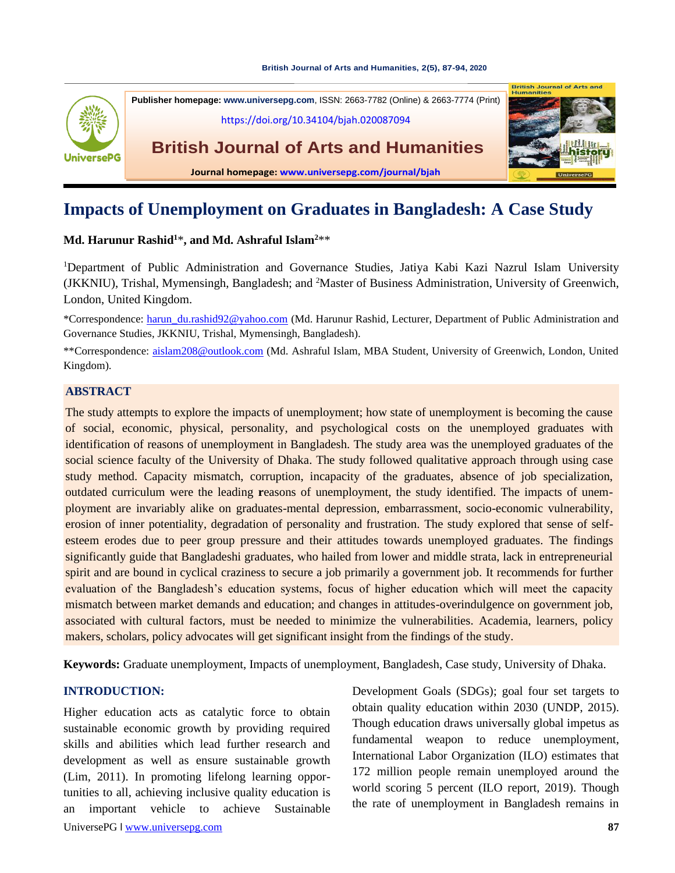#### **[British Journal of Arts and Humanities,](https://doi.org/10.34104/bjah.020087094) 2(5), 87-94, 2020**



# **Impacts of Unemployment on Graduates in Bangladesh: A Case Study**

#### **Md. Harunur Rashid<sup>1</sup>**\***, and Md. Ashraful Islam<sup>2</sup>**\*\*

<sup>1</sup>Department of Public Administration and Governance Studies, Jatiya Kabi Kazi Nazrul Islam University (JKKNIU), Trishal, Mymensingh, Bangladesh; and <sup>2</sup>Master of Business Administration, University of Greenwich, London, United Kingdom.

\*Correspondence: [harun\\_du.rashid92@yahoo.com](mailto:harun_du.rashid92@yahoo.com) (Md. Harunur Rashid, Lecturer, Department of Public Administration and Governance Studies, JKKNIU, Trishal, Mymensingh, Bangladesh).

\*\*Correspondence: [aislam208@outlook.com](mailto:aislam208@outlook.com) (Md. Ashraful Islam, MBA Student, University of Greenwich, London, United Kingdom).

#### **ABSTRACT**

The study attempts to explore the impacts of unemployment; how state of unemployment is becoming the cause of social, economic, physical, personality, and psychological costs on the unemployed graduates with identification of reasons of unemployment in Bangladesh. The study area was the unemployed graduates of the social science faculty of the University of Dhaka. The study followed qualitative approach through using case study method. Capacity mismatch, corruption, incapacity of the graduates, absence of job specialization, outdated curriculum were the leading **r**easons of unemployment, the study identified. The impacts of unemployment are invariably alike on graduates-mental depression, embarrassment, socio-economic vulnerability, erosion of inner potentiality, degradation of personality and frustration. The study explored that sense of selfesteem erodes due to peer group pressure and their attitudes towards unemployed graduates. The findings significantly guide that Bangladeshi graduates, who hailed from lower and middle strata, lack in entrepreneurial spirit and are bound in cyclical craziness to secure a job primarily a government job. It recommends for further evaluation of the Bangladesh's education systems, focus of higher education which will meet the capacity mismatch between market demands and education; and changes in attitudes-overindulgence on government job, associated with cultural factors, must be needed to minimize the vulnerabilities. Academia, learners, policy makers, scholars, policy advocates will get significant insight from the findings of the study.

**Keywords:** Graduate unemployment, Impacts of unemployment, Bangladesh, Case study, University of Dhaka.

### **INTRODUCTION:**

UniversePG l [www.universepg.com](http://www.universepg.com/) **87** Higher education acts as catalytic force to obtain sustainable economic growth by providing required skills and abilities which lead further research and development as well as ensure sustainable growth (Lim, 2011). In promoting lifelong learning opportunities to all, achieving inclusive quality education is an important vehicle to achieve Sustainable

Development Goals (SDGs); goal four set targets to obtain quality education within 2030 (UNDP, 2015). Though education draws universally global impetus as fundamental weapon to reduce unemployment, International Labor Organization (ILO) estimates that 172 million people remain unemployed around the world scoring 5 percent (ILO report, 2019). Though the rate of unemployment in Bangladesh remains in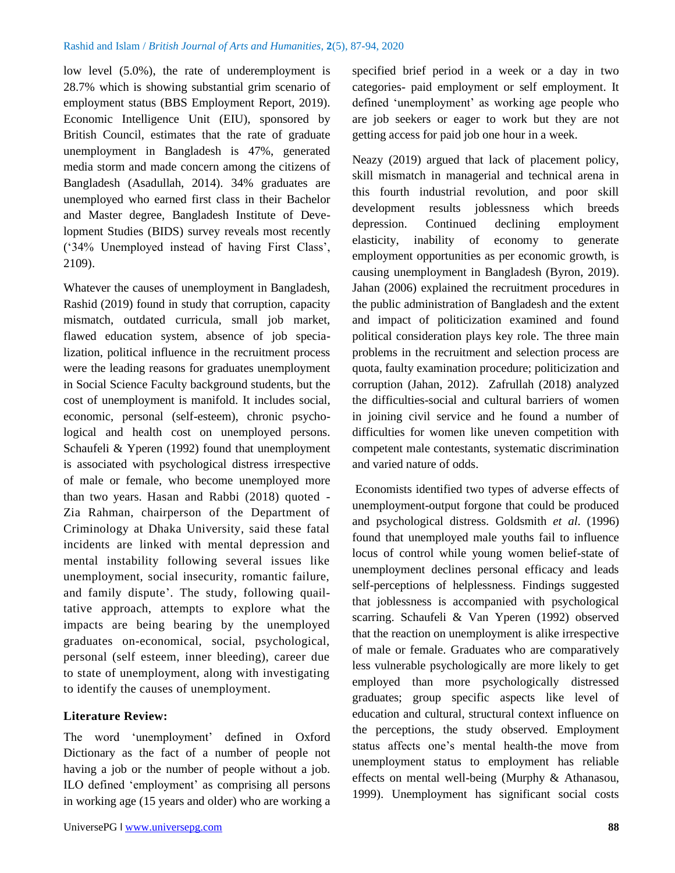low level (5.0%), the rate of underemployment is 28.7% which is showing substantial grim scenario of employment status (BBS Employment Report, 2019). Economic Intelligence Unit (EIU), sponsored by British Council, estimates that the rate of graduate unemployment in Bangladesh is 47%, generated media storm and made concern among the citizens of Bangladesh (Asadullah, 2014). 34% graduates are unemployed who earned first class in their Bachelor and Master degree, Bangladesh Institute of Development Studies (BIDS) survey reveals most recently ('34% Unemployed instead of having First Class', 2109).

Whatever the causes of unemployment in Bangladesh, Rashid (2019) found in study that corruption, capacity mismatch, outdated curricula, small job market, flawed education system, absence of job specialization, political influence in the recruitment process were the leading reasons for graduates unemployment in Social Science Faculty background students, but the cost of unemployment is manifold. It includes social, economic, personal (self-esteem), chronic psychological and health cost on unemployed persons. Schaufeli & Yperen (1992) found that unemployment is associated with psychological distress irrespective of male or female, who become unemployed more than two years. Hasan and Rabbi (2018) quoted - Zia Rahman, chairperson of the Department of Criminology at Dhaka University, said these fatal incidents are linked with mental depression and mental instability following several issues like unemployment, social insecurity, romantic failure, and family dispute'. The study, following quailtative approach, attempts to explore what the impacts are being bearing by the unemployed graduates on-economical, social, psychological, personal (self esteem, inner bleeding), career due to state of unemployment, along with investigating to identify the causes of unemployment.

### **Literature Review:**

The word 'unemployment' defined in Oxford Dictionary as the fact of a number of people not having a job or the number of people without a job. ILO defined 'employment' as comprising all persons in working age (15 years and older) who are working a specified brief period in a week or a day in two categories- paid employment or self employment. It defined 'unemployment' as working age people who are job seekers or eager to work but they are not getting access for paid job one hour in a week.

Neazy (2019) argued that lack of placement policy, skill mismatch in managerial and technical arena in this fourth industrial revolution, and poor skill development results joblessness which breeds depression. Continued declining employment elasticity, inability of economy to generate employment opportunities as per economic growth, is causing unemployment in Bangladesh (Byron, 2019). Jahan (2006) explained the recruitment procedures in the public administration of Bangladesh and the extent and impact of politicization examined and found political consideration plays key role. The three main problems in the recruitment and selection process are quota, faulty examination procedure; politicization and corruption (Jahan, 2012). Zafrullah (2018) analyzed the difficulties-social and cultural barriers of women in joining civil service and he found a number of difficulties for women like uneven competition with competent male contestants, systematic discrimination and varied nature of odds.

Economists identified two types of adverse effects of unemployment-output forgone that could be produced and psychological distress. Goldsmith *et al*. (1996) found that unemployed male youths fail to influence locus of control while young women belief-state of unemployment declines personal efficacy and leads self-perceptions of helplessness. Findings suggested that joblessness is accompanied with psychological scarring. Schaufeli & Van Yperen (1992) observed that the reaction on unemployment is alike irrespective of male or female. Graduates who are comparatively less vulnerable psychologically are more likely to get employed than more psychologically distressed graduates; group specific aspects like level of education and cultural, structural context influence on the perceptions, the study observed. Employment status affects one's mental health-the move from unemployment status to employment has reliable effects on mental well-being (Murphy & Athanasou, 1999). Unemployment has significant social costs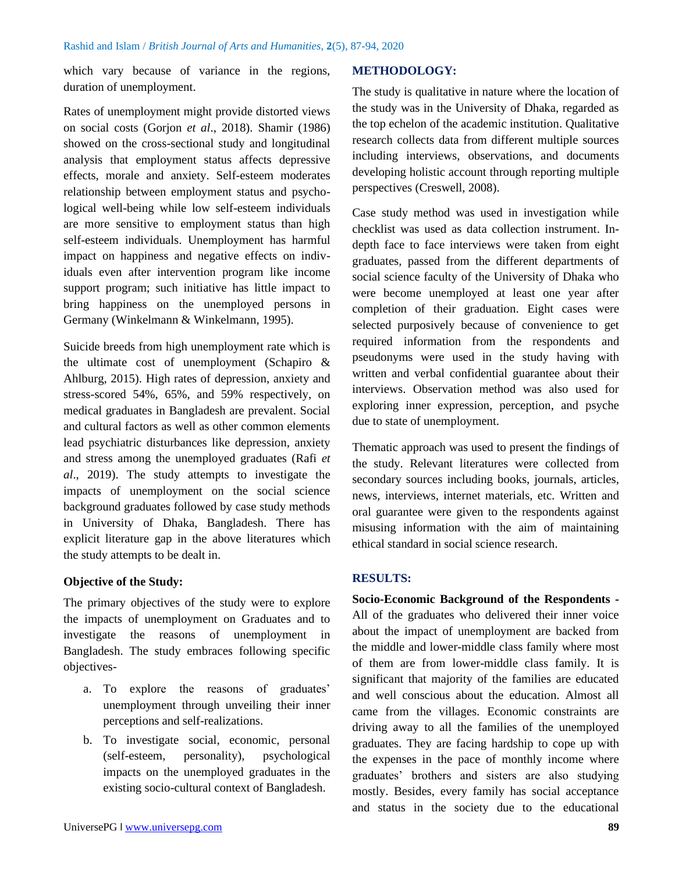which vary because of variance in the regions, duration of unemployment.

Rates of unemployment might provide distorted views on social costs (Gorjon *et al*., 2018). Shamir (1986) showed on the cross-sectional study and longitudinal analysis that employment status affects depressive effects, morale and anxiety. Self-esteem moderates relationship between employment status and psychological well-being while low self-esteem individuals are more sensitive to employment status than high self-esteem individuals. Unemployment has harmful impact on happiness and negative effects on individuals even after intervention program like income support program; such initiative has little impact to bring happiness on the unemployed persons in Germany (Winkelmann & Winkelmann, 1995).

Suicide breeds from high unemployment rate which is the ultimate cost of unemployment (Schapiro & Ahlburg, 2015). High rates of depression, anxiety and stress-scored 54%, 65%, and 59% respectively, on medical graduates in Bangladesh are prevalent. Social and cultural factors as well as other common elements lead psychiatric disturbances like depression, anxiety and stress among the unemployed graduates (Rafi *et al*., 2019). The study attempts to investigate the impacts of unemployment on the social science background graduates followed by case study methods in University of Dhaka, Bangladesh. There has explicit literature gap in the above literatures which the study attempts to be dealt in.

### **Objective of the Study:**

The primary objectives of the study were to explore the impacts of unemployment on Graduates and to investigate the reasons of unemployment in Bangladesh. The study embraces following specific objectives-

- a. To explore the reasons of graduates' unemployment through unveiling their inner perceptions and self-realizations.
- b. To investigate social, economic, personal (self-esteem, personality), psychological impacts on the unemployed graduates in the existing socio-cultural context of Bangladesh.

#### **METHODOLOGY:**

The study is qualitative in nature where the location of the study was in the University of Dhaka, regarded as the top echelon of the academic institution. Qualitative research collects data from different multiple sources including interviews, observations, and documents developing holistic account through reporting multiple perspectives (Creswell, 2008).

Case study method was used in investigation while checklist was used as data collection instrument. Indepth face to face interviews were taken from eight graduates, passed from the different departments of social science faculty of the University of Dhaka who were become unemployed at least one year after completion of their graduation. Eight cases were selected purposively because of convenience to get required information from the respondents and pseudonyms were used in the study having with written and verbal confidential guarantee about their interviews. Observation method was also used for exploring inner expression, perception, and psyche due to state of unemployment.

Thematic approach was used to present the findings of the study. Relevant literatures were collected from secondary sources including books, journals, articles, news, interviews, internet materials, etc. Written and oral guarantee were given to the respondents against misusing information with the aim of maintaining ethical standard in social science research.

### **RESULTS:**

**Socio-Economic Background of the Respondents -** All of the graduates who delivered their inner voice about the impact of unemployment are backed from the middle and lower-middle class family where most of them are from lower-middle class family. It is significant that majority of the families are educated and well conscious about the education. Almost all came from the villages. Economic constraints are driving away to all the families of the unemployed graduates. They are facing hardship to cope up with the expenses in the pace of monthly income where graduates' brothers and sisters are also studying mostly. Besides, every family has social acceptance and status in the society due to the educational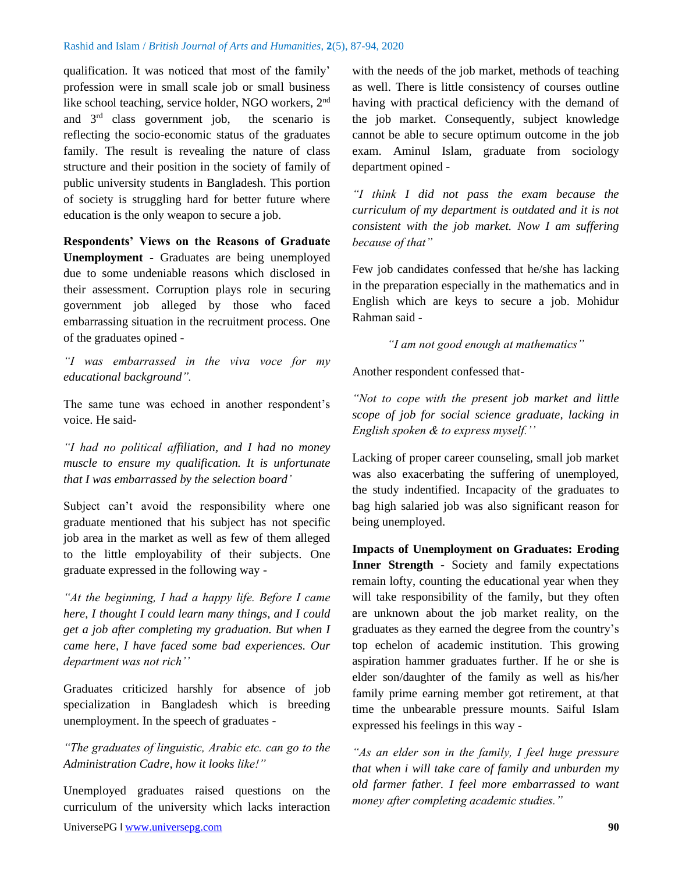qualification. It was noticed that most of the family' profession were in small scale job or small business like school teaching, service holder, NGO workers, 2<sup>nd</sup> and  $3<sup>rd</sup>$  class government job, the scenario is reflecting the socio-economic status of the graduates family. The result is revealing the nature of class structure and their position in the society of family of public university students in Bangladesh. This portion of society is struggling hard for better future where education is the only weapon to secure a job.

**Respondents' Views on the Reasons of Graduate Unemployment -** Graduates are being unemployed due to some undeniable reasons which disclosed in their assessment. Corruption plays role in securing government job alleged by those who faced embarrassing situation in the recruitment process. One of the graduates opined -

*"I was embarrassed in the viva voce for my educational background".*

The same tune was echoed in another respondent's voice. He said-

*"I had no political affiliation, and I had no money muscle to ensure my qualification. It is unfortunate that I was embarrassed by the selection board'*

Subject can't avoid the responsibility where one graduate mentioned that his subject has not specific job area in the market as well as few of them alleged to the little employability of their subjects. One graduate expressed in the following way -

*"At the beginning, I had a happy life. Before I came here, I thought I could learn many things, and I could get a job after completing my graduation. But when I came here, I have faced some bad experiences. Our department was not rich''*

Graduates criticized harshly for absence of job specialization in Bangladesh which is breeding unemployment. In the speech of graduates -

*"The graduates of linguistic, Arabic etc. can go to the Administration Cadre, how it looks like!"*

Unemployed graduates raised questions on the curriculum of the university which lacks interaction with the needs of the job market, methods of teaching as well. There is little consistency of courses outline having with practical deficiency with the demand of the job market. Consequently, subject knowledge cannot be able to secure optimum outcome in the job exam. Aminul Islam, graduate from sociology department opined -

*"I think I did not pass the exam because the curriculum of my department is outdated and it is not consistent with the job market. Now I am suffering because of that"*

Few job candidates confessed that he/she has lacking in the preparation especially in the mathematics and in English which are keys to secure a job. Mohidur Rahman said -

*"I am not good enough at mathematics"*

Another respondent confessed that-

*"Not to cope with the present job market and little scope of job for social science graduate, lacking in English spoken & to express myself.''*

Lacking of proper career counseling, small job market was also exacerbating the suffering of unemployed, the study indentified. Incapacity of the graduates to bag high salaried job was also significant reason for being unemployed.

**Impacts of Unemployment on Graduates: Eroding Inner Strength -** Society and family expectations remain lofty, counting the educational year when they will take responsibility of the family, but they often are unknown about the job market reality, on the graduates as they earned the degree from the country's top echelon of academic institution. This growing aspiration hammer graduates further. If he or she is elder son/daughter of the family as well as his/her family prime earning member got retirement, at that time the unbearable pressure mounts. Saiful Islam expressed his feelings in this way -

*"As an elder son in the family, I feel huge pressure that when i will take care of family and unburden my old farmer father. I feel more embarrassed to want money after completing academic studies."*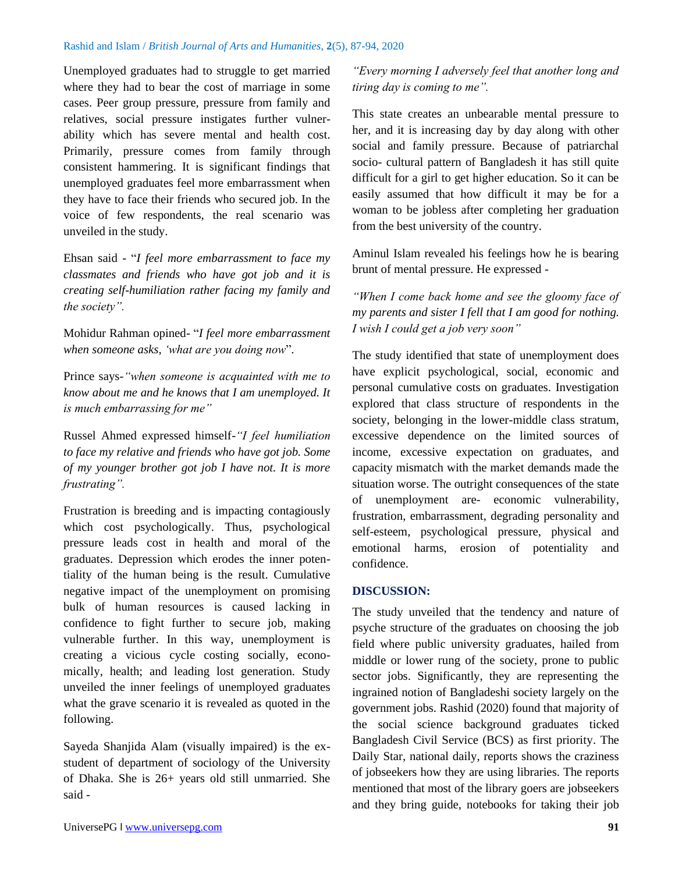Unemployed graduates had to struggle to get married where they had to bear the cost of marriage in some cases. Peer group pressure, pressure from family and relatives, social pressure instigates further vulnerability which has severe mental and health cost. Primarily, pressure comes from family through consistent hammering. It is significant findings that unemployed graduates feel more embarrassment when they have to face their friends who secured job. In the voice of few respondents, the real scenario was unveiled in the study.

Ehsan said - "*I feel more embarrassment to face my classmates and friends who have got job and it is creating self-humiliation rather facing my family and the society".*

Mohidur Rahman opined- "*I feel more embarrassment when someone asks*, *'what are you doing now*"*.*

Prince says*-"when someone is acquainted with me to know about me and he knows that I am unemployed. It is much embarrassing for me"*

Russel Ahmed expressed himself*-"I feel humiliation to face my relative and friends who have got job. Some of my younger brother got job I have not. It is more frustrating".*

Frustration is breeding and is impacting contagiously which cost psychologically. Thus, psychological pressure leads cost in health and moral of the graduates. Depression which erodes the inner potentiality of the human being is the result. Cumulative negative impact of the unemployment on promising bulk of human resources is caused lacking in confidence to fight further to secure job, making vulnerable further. In this way, unemployment is creating a vicious cycle costing socially, economically, health; and leading lost generation. Study unveiled the inner feelings of unemployed graduates what the grave scenario it is revealed as quoted in the following.

Sayeda Shanjida Alam (visually impaired) is the exstudent of department of sociology of the University of Dhaka. She is 26+ years old still unmarried. She said -

*"Every morning I adversely feel that another long and tiring day is coming to me".*

This state creates an unbearable mental pressure to her, and it is increasing day by day along with other social and family pressure. Because of patriarchal socio- cultural pattern of Bangladesh it has still quite difficult for a girl to get higher education. So it can be easily assumed that how difficult it may be for a woman to be jobless after completing her graduation from the best university of the country.

Aminul Islam revealed his feelings how he is bearing brunt of mental pressure. He expressed -

*"When I come back home and see the gloomy face of my parents and sister I fell that I am good for nothing. I wish I could get a job very soon"*

The study identified that state of unemployment does have explicit psychological, social, economic and personal cumulative costs on graduates. Investigation explored that class structure of respondents in the society, belonging in the lower-middle class stratum, excessive dependence on the limited sources of income, excessive expectation on graduates, and capacity mismatch with the market demands made the situation worse. The outright consequences of the state of unemployment are- economic vulnerability, frustration, embarrassment, degrading personality and self-esteem, psychological pressure, physical and emotional harms, erosion of potentiality and confidence.

### **DISCUSSION:**

The study unveiled that the tendency and nature of psyche structure of the graduates on choosing the job field where public university graduates, hailed from middle or lower rung of the society, prone to public sector jobs. Significantly, they are representing the ingrained notion of Bangladeshi society largely on the government jobs. Rashid (2020) found that majority of the social science background graduates ticked Bangladesh Civil Service (BCS) as first priority. The Daily Star, national daily, reports shows the craziness of jobseekers how they are using libraries. The reports mentioned that most of the library goers are jobseekers and they bring guide, notebooks for taking their job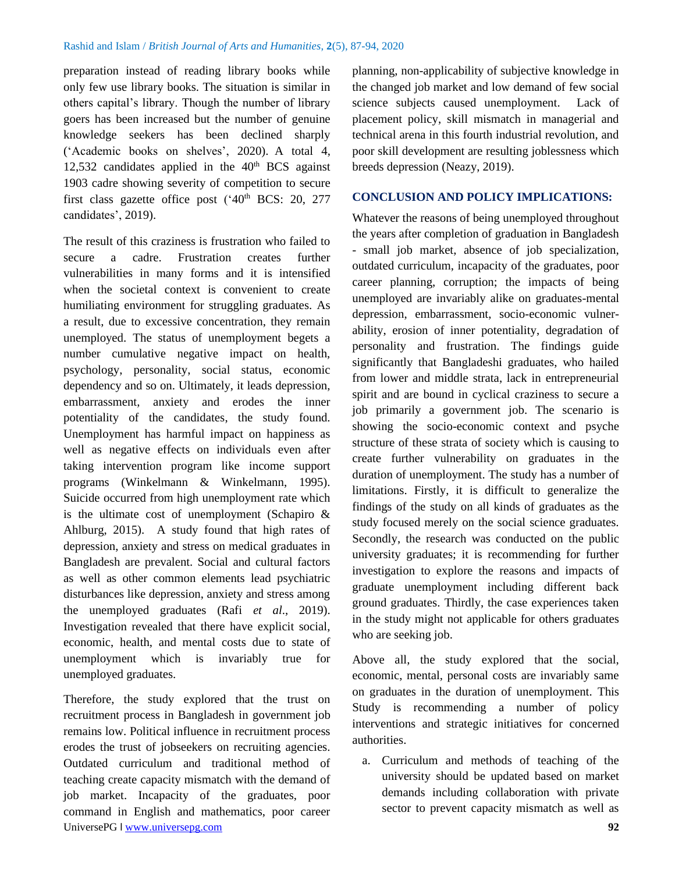preparation instead of reading library books while only few use library books. The situation is similar in others capital's library. Though the number of library goers has been increased but the number of genuine knowledge seekers has been declined sharply ('Academic books on shelves', 2020). A total 4, 12,532 candidates applied in the  $40<sup>th</sup> BCS$  against 1903 cadre showing severity of competition to secure first class gazette office post  $(^{4}0^{th}$  BCS: 20, 277 candidates', 2019).

The result of this craziness is frustration who failed to secure a cadre. Frustration creates further vulnerabilities in many forms and it is intensified when the societal context is convenient to create humiliating environment for struggling graduates. As a result, due to excessive concentration, they remain unemployed. The status of unemployment begets a number cumulative negative impact on health, psychology, personality, social status, economic dependency and so on. Ultimately, it leads depression, embarrassment, anxiety and erodes the inner potentiality of the candidates, the study found. Unemployment has harmful impact on happiness as well as negative effects on individuals even after taking intervention program like income support programs (Winkelmann & Winkelmann, 1995). Suicide occurred from high unemployment rate which is the ultimate cost of unemployment (Schapiro & Ahlburg, 2015). A study found that high rates of depression, anxiety and stress on medical graduates in Bangladesh are prevalent. Social and cultural factors as well as other common elements lead psychiatric disturbances like depression, anxiety and stress among the unemployed graduates (Rafi *et al*., 2019). Investigation revealed that there have explicit social, economic, health, and mental costs due to state of unemployment which is invariably true for unemployed graduates.

UniversePG l [www.universepg.com](http://www.universepg.com/) **92** Therefore, the study explored that the trust on recruitment process in Bangladesh in government job remains low. Political influence in recruitment process erodes the trust of jobseekers on recruiting agencies. Outdated curriculum and traditional method of teaching create capacity mismatch with the demand of job market. Incapacity of the graduates, poor command in English and mathematics, poor career

planning, non-applicability of subjective knowledge in the changed job market and low demand of few social science subjects caused unemployment. Lack of placement policy, skill mismatch in managerial and technical arena in this fourth industrial revolution, and poor skill development are resulting joblessness which breeds depression (Neazy, 2019).

#### **CONCLUSION AND POLICY IMPLICATIONS:**

Whatever the reasons of being unemployed throughout the years after completion of graduation in Bangladesh - small job market, absence of job specialization, outdated curriculum, incapacity of the graduates, poor career planning, corruption; the impacts of being unemployed are invariably alike on graduates-mental depression, embarrassment, socio-economic vulnerability, erosion of inner potentiality, degradation of personality and frustration. The findings guide significantly that Bangladeshi graduates, who hailed from lower and middle strata, lack in entrepreneurial spirit and are bound in cyclical craziness to secure a job primarily a government job. The scenario is showing the socio-economic context and psyche structure of these strata of society which is causing to create further vulnerability on graduates in the duration of unemployment. The study has a number of limitations. Firstly, it is difficult to generalize the findings of the study on all kinds of graduates as the study focused merely on the social science graduates. Secondly, the research was conducted on the public university graduates; it is recommending for further investigation to explore the reasons and impacts of graduate unemployment including different back ground graduates. Thirdly, the case experiences taken in the study might not applicable for others graduates who are seeking job.

Above all, the study explored that the social, economic, mental, personal costs are invariably same on graduates in the duration of unemployment. This Study is recommending a number of policy interventions and strategic initiatives for concerned authorities.

a. Curriculum and methods of teaching of the university should be updated based on market demands including collaboration with private sector to prevent capacity mismatch as well as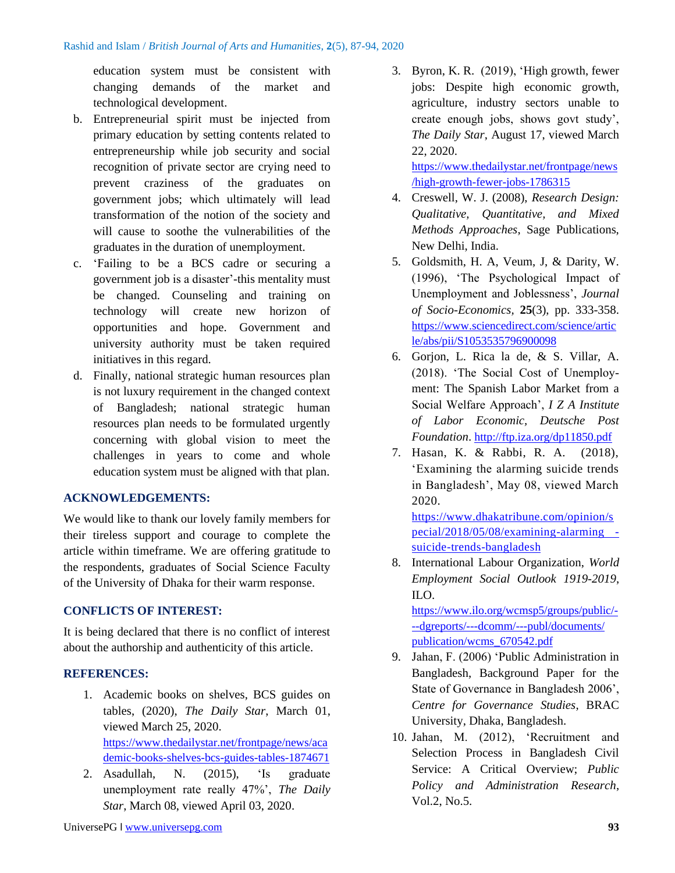education system must be consistent with changing demands of the market and technological development.

- b. Entrepreneurial spirit must be injected from primary education by setting contents related to entrepreneurship while job security and social recognition of private sector are crying need to prevent craziness of the graduates on government jobs; which ultimately will lead transformation of the notion of the society and will cause to soothe the vulnerabilities of the graduates in the duration of unemployment.
- c. 'Failing to be a BCS cadre or securing a government job is a disaster'-this mentality must be changed. Counseling and training on technology will create new horizon of opportunities and hope. Government and university authority must be taken required initiatives in this regard.
- d. Finally, national strategic human resources plan is not luxury requirement in the changed context of Bangladesh; national strategic human resources plan needs to be formulated urgently concerning with global vision to meet the challenges in years to come and whole education system must be aligned with that plan.

# **ACKNOWLEDGEMENTS:**

We would like to thank our lovely family members for their tireless support and courage to complete the article within timeframe. We are offering gratitude to the respondents, graduates of Social Science Faculty of the University of Dhaka for their warm response.

# **CONFLICTS OF INTEREST:**

It is being declared that there is no conflict of interest about the authorship and authenticity of this article.

# **REFERENCES:**

- 1. Academic books on shelves, BCS guides on tables, (2020), *The Daily Star*, March 01, viewed March 25, 2020. [https://www.thedailystar.net/frontpage/news/aca](https://www.thedailystar.net/frontpage/news/academic-books-shelves-bcs-guides-tables-1874671) [demic-books-shelves-bcs-guides-tables-1874671](https://www.thedailystar.net/frontpage/news/academic-books-shelves-bcs-guides-tables-1874671)
- 2. Asadullah, N. (2015), 'Is graduate unemployment rate really 47%', *The Daily Star*, March 08, viewed April 03, 2020.

3. Byron, K. R. (2019), 'High growth, fewer jobs: Despite high economic growth, agriculture, industry sectors unable to create enough jobs, shows govt study', *The Daily Star*, August 17, viewed March 22, 2020.

[https://www.thedailystar.net/frontpage/news](https://www.thedailystar.net/frontpage/news/high-growth-fewer-jobs-1786315) [/high-growth-fewer-jobs-1786315](https://www.thedailystar.net/frontpage/news/high-growth-fewer-jobs-1786315) 

- 4. Creswell, W. J. (2008), *Research Design: Qualitative, Quantitative, and Mixed Methods Approaches*, Sage Publications, New Delhi, India.
- 5. Goldsmith, H. A, Veum, J, & Darity, W. (1996), 'The Psychological Impact of Unemployment and Joblessness', *Journal of Socio-Economics,* **25**(3), pp. 333-358. [https://www.sciencedirect.com/science/artic](https://www.sciencedirect.com/science/article/abs/pii/S1053535796900098) [le/abs/pii/S1053535796900098](https://www.sciencedirect.com/science/article/abs/pii/S1053535796900098)
- 6. Gorjon, L. Rica la de, & S. Villar, A. (2018). 'The Social Cost of Unemployment: The Spanish Labor Market from a Social Welfare Approach', *I Z A Institute of Labor Economic, Deutsche Post Foundation*. <http://ftp.iza.org/dp11850.pdf>
- 7. Hasan, K. & Rabbi, R. A. (2018), 'Examining the alarming suicide trends in Bangladesh', May 08, viewed March 2020.

[https://www.dhakatribune.com/opinion/s](https://www.dhakatribune.com/opinion/special/2018/05/08/examining-alarming%20-suicide-trends-bangladesh) [pecial/2018/05/08/examining-alarming](https://www.dhakatribune.com/opinion/special/2018/05/08/examining-alarming%20-suicide-trends-bangladesh)  [suicide-trends-bangladesh](https://www.dhakatribune.com/opinion/special/2018/05/08/examining-alarming%20-suicide-trends-bangladesh)

8. International Labour Organization, *World Employment Social Outlook 1919-2019*, ILO.

[https://www.ilo.org/wcmsp5/groups/public/-](https://www.ilo.org/wcmsp5/groups/public/---dgreports/---dcomm/---publ/documents/%20publication/wcms_670542.pdf) [--dgreports/---dcomm/---publ/documents/](https://www.ilo.org/wcmsp5/groups/public/---dgreports/---dcomm/---publ/documents/%20publication/wcms_670542.pdf)  [publication/wcms\\_670542.pdf](https://www.ilo.org/wcmsp5/groups/public/---dgreports/---dcomm/---publ/documents/%20publication/wcms_670542.pdf)

- 9. Jahan, F. (2006) 'Public Administration in Bangladesh, Background Paper for the State of Governance in Bangladesh 2006', *Centre for Governance Studies*, BRAC University, Dhaka, Bangladesh.
- 10. Jahan, M. (2012), 'Recruitment and Selection Process in Bangladesh Civil Service: A Critical Overview; *Public Policy and Administration Research*, Vol.2, No.5.